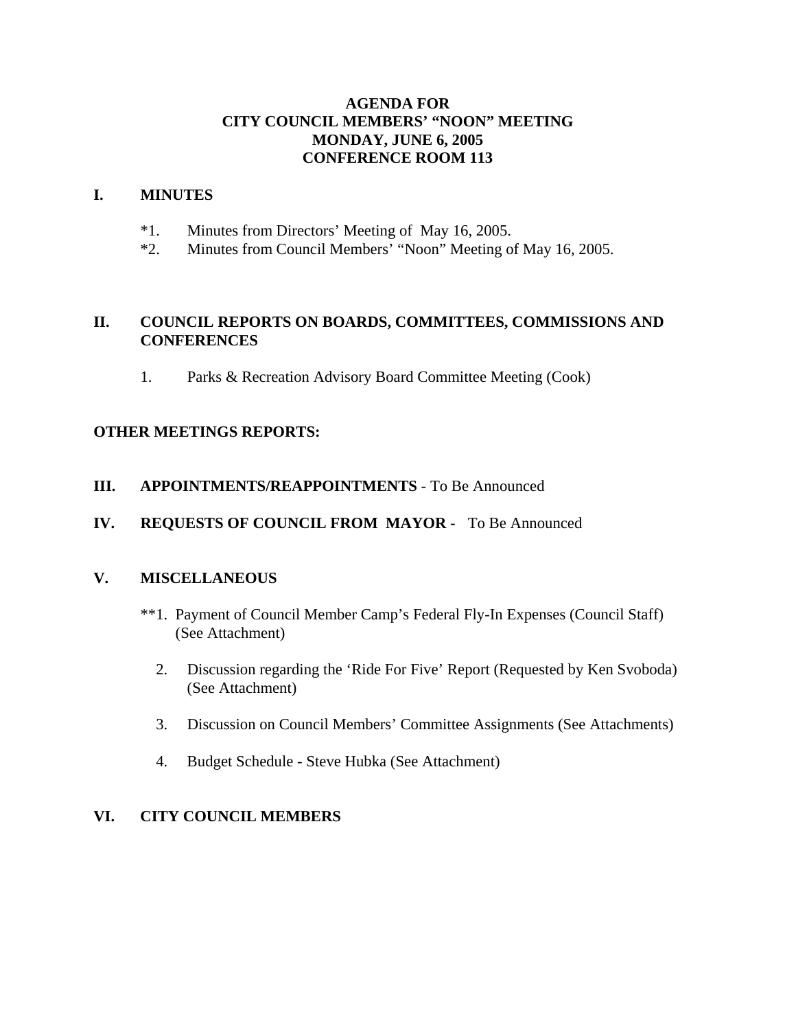## **AGENDA FOR CITY COUNCIL MEMBERS' "NOON" MEETING MONDAY, JUNE 6, 2005 CONFERENCE ROOM 113**

#### **I. MINUTES**

- \*1. Minutes from Directors' Meeting of May 16, 2005.
- \*2. Minutes from Council Members' "Noon" Meeting of May 16, 2005.

## **II. COUNCIL REPORTS ON BOARDS, COMMITTEES, COMMISSIONS AND CONFERENCES**

1. Parks & Recreation Advisory Board Committee Meeting (Cook)

## **OTHER MEETINGS REPORTS:**

## **III. APPOINTMENTS/REAPPOINTMENTS** - To Be Announced

## **IV. REQUESTS OF COUNCIL FROM MAYOR -** To Be Announced

## **V. MISCELLANEOUS**

- \*\*1. Payment of Council Member Camp's Federal Fly-In Expenses (Council Staff) (See Attachment)
	- 2. Discussion regarding the 'Ride For Five' Report (Requested by Ken Svoboda) (See Attachment)
	- 3. Discussion on Council Members' Committee Assignments (See Attachments)
	- 4. Budget Schedule Steve Hubka (See Attachment)

## **VI. CITY COUNCIL MEMBERS**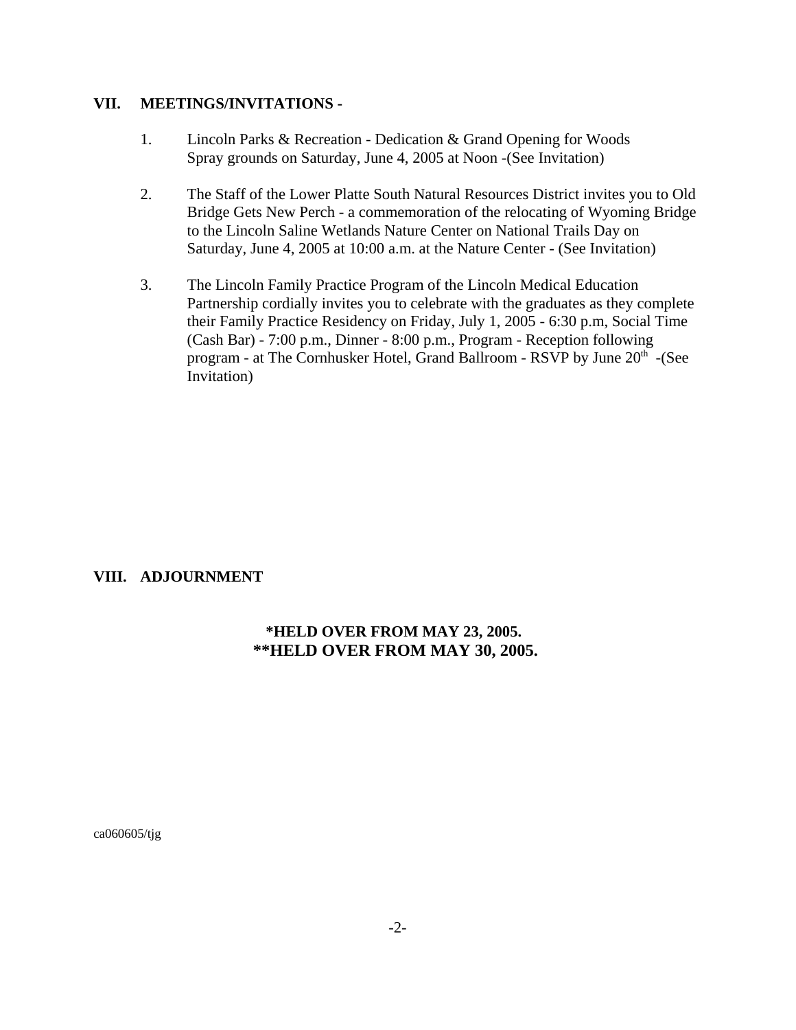#### **VII. MEETINGS/INVITATIONS -**

- 1. Lincoln Parks & Recreation Dedication & Grand Opening for Woods Spray grounds on Saturday, June 4, 2005 at Noon -(See Invitation)
- 2. The Staff of the Lower Platte South Natural Resources District invites you to Old Bridge Gets New Perch - a commemoration of the relocating of Wyoming Bridge to the Lincoln Saline Wetlands Nature Center on National Trails Day on Saturday, June 4, 2005 at 10:00 a.m. at the Nature Center - (See Invitation)
- 3. The Lincoln Family Practice Program of the Lincoln Medical Education Partnership cordially invites you to celebrate with the graduates as they complete their Family Practice Residency on Friday, July 1, 2005 - 6:30 p.m, Social Time (Cash Bar) - 7:00 p.m., Dinner - 8:00 p.m., Program - Reception following program - at The Cornhusker Hotel, Grand Ballroom - RSVP by June 20<sup>th</sup> -(See Invitation)

#### **VIII. ADJOURNMENT**

### **\*HELD OVER FROM MAY 23, 2005. \*\*HELD OVER FROM MAY 30, 2005.**

ca060605/tjg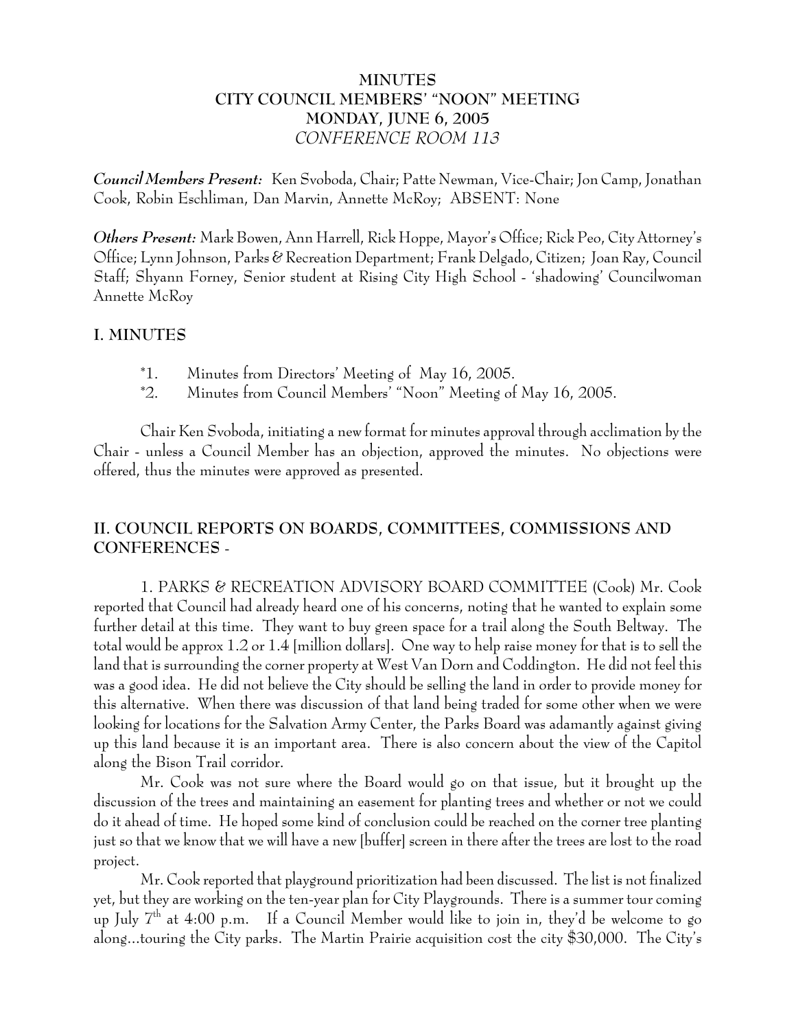# **MINUTES CITY COUNCIL MEMBERS' "NOON" MEETING MONDAY, JUNE 6, 2005** *CONFERENCE ROOM 113*

*Council Members Present:* Ken Svoboda, Chair; Patte Newman, Vice-Chair; Jon Camp, Jonathan Cook, Robin Eschliman, Dan Marvin, Annette McRoy; ABSENT: None

*Others Present:* Mark Bowen, Ann Harrell, Rick Hoppe, Mayor's Office; Rick Peo, City Attorney's Office; Lynn Johnson, Parks & Recreation Department; Frank Delgado, Citizen; Joan Ray, Council Staff; Shyann Forney, Senior student at Rising City High School - 'shadowing' Councilwoman Annette McRoy

### **I. MINUTES**

- \*1. Minutes from Directors' Meeting of May 16, 2005.
- \*2. Minutes from Council Members' "Noon" Meeting of May 16, 2005.

Chair Ken Svoboda, initiating a new format for minutes approval through acclimation by the Chair - unless a Council Member has an objection, approved the minutes. No objections were offered, thus the minutes were approved as presented.

# **II. COUNCIL REPORTS ON BOARDS, COMMITTEES, COMMISSIONS AND CONFERENCES** -

1. PARKS & RECREATION ADVISORY BOARD COMMITTEE (Cook) Mr. Cook reported that Council had already heard one of his concerns, noting that he wanted to explain some further detail at this time. They want to buy green space for a trail along the South Beltway. The total would be approx 1.2 or 1.4 [million dollars]. One way to help raise money for that is to sell the land that is surrounding the corner property at West Van Dorn and Coddington. He did not feel this was a good idea. He did not believe the City should be selling the land in order to provide money for this alternative. When there was discussion of that land being traded for some other when we were looking for locations for the Salvation Army Center, the Parks Board was adamantly against giving up this land because it is an important area. There is also concern about the view of the Capitol along the Bison Trail corridor.

Mr. Cook was not sure where the Board would go on that issue, but it brought up the discussion of the trees and maintaining an easement for planting trees and whether or not we could do it ahead of time. He hoped some kind of conclusion could be reached on the corner tree planting just so that we know that we will have a new [buffer] screen in there after the trees are lost to the road project.

Mr. Cook reported that playground prioritization had been discussed. The list is not finalized yet, but they are working on the ten-year plan for City Playgrounds. There is a summer tour coming up July  $7<sup>th</sup>$  at 4:00 p.m. If a Council Member would like to join in, they'd be welcome to go along...touring the City parks. The Martin Prairie acquisition cost the city \$30,000. The City's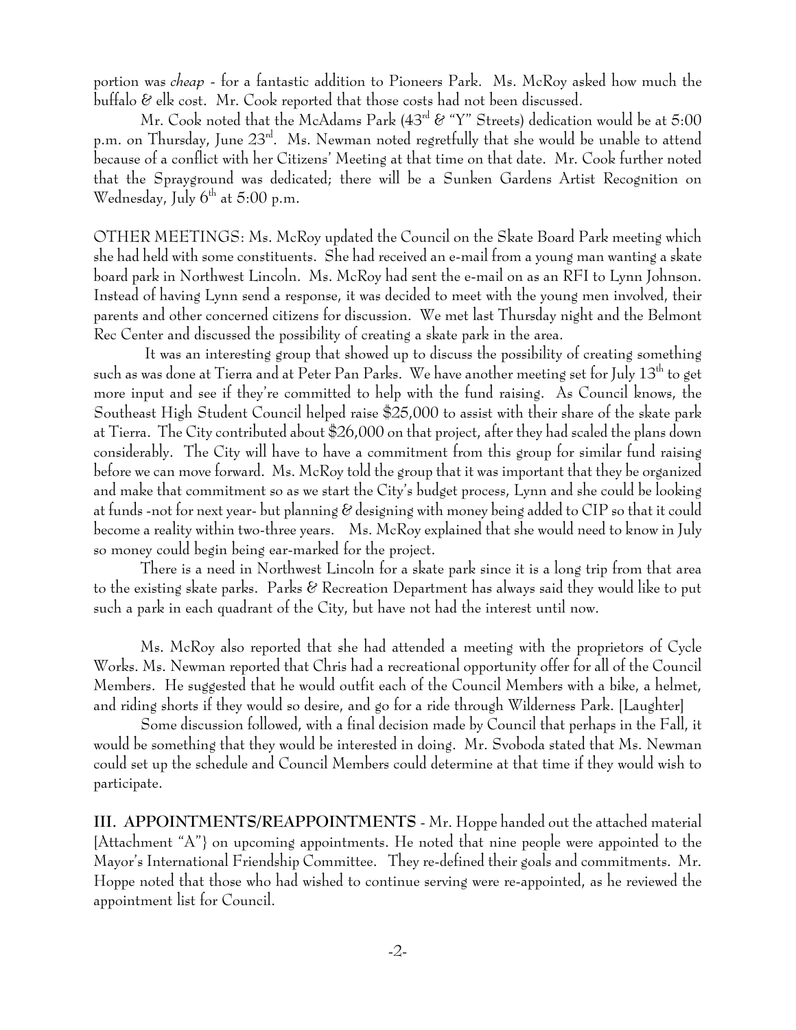portion was *cheap* - for a fantastic addition to Pioneers Park. Ms. McRoy asked how much the buffalo & elk cost. Mr. Cook reported that those costs had not been discussed.

Mr. Cook noted that the McAdams Park  $(43^{rd} &$  "Y" Streets) dedication would be at 5:00 p.m. on Thursday, June  $23^{\text{rd}}$ . Ms. Newman noted regretfully that she would be unable to attend because of a conflict with her Citizens' Meeting at that time on that date. Mr. Cook further noted that the Sprayground was dedicated; there will be a Sunken Gardens Artist Recognition on Wednesday, July  $6<sup>th</sup>$  at 5:00 p.m.

OTHER MEETINGS: Ms. McRoy updated the Council on the Skate Board Park meeting which she had held with some constituents. She had received an e-mail from a young man wanting a skate board park in Northwest Lincoln. Ms. McRoy had sent the e-mail on as an RFI to Lynn Johnson. Instead of having Lynn send a response, it was decided to meet with the young men involved, their parents and other concerned citizens for discussion. We met last Thursday night and the Belmont Rec Center and discussed the possibility of creating a skate park in the area.

 It was an interesting group that showed up to discuss the possibility of creating something such as was done at Tierra and at Peter Pan Parks. We have another meeting set for July 13<sup>th</sup> to get more input and see if they're committed to help with the fund raising. As Council knows, the Southeast High Student Council helped raise \$25,000 to assist with their share of the skate park at Tierra. The City contributed about \$26,000 on that project, after they had scaled the plans down considerably. The City will have to have a commitment from this group for similar fund raising before we can move forward. Ms. McRoy told the group that it was important that they be organized and make that commitment so as we start the City's budget process, Lynn and she could be looking at funds -not for next year- but planning & designing with money being added to CIP so that it could become a reality within two-three years. Ms. McRoy explained that she would need to know in July so money could begin being ear-marked for the project.

There is a need in Northwest Lincoln for a skate park since it is a long trip from that area to the existing skate parks. Parks & Recreation Department has always said they would like to put such a park in each quadrant of the City, but have not had the interest until now.

Ms. McRoy also reported that she had attended a meeting with the proprietors of Cycle Works. Ms. Newman reported that Chris had a recreational opportunity offer for all of the Council Members. He suggested that he would outfit each of the Council Members with a bike, a helmet, and riding shorts if they would so desire, and go for a ride through Wilderness Park. [Laughter]

Some discussion followed, with a final decision made by Council that perhaps in the Fall, it would be something that they would be interested in doing. Mr. Svoboda stated that Ms. Newman could set up the schedule and Council Members could determine at that time if they would wish to participate.

**III. APPOINTMENTS/REAPPOINTMENTS** - Mr. Hoppe handed out the attached material [Attachment "A"} on upcoming appointments. He noted that nine people were appointed to the Mayor's International Friendship Committee. They re-defined their goals and commitments. Mr. Hoppe noted that those who had wished to continue serving were re-appointed, as he reviewed the appointment list for Council.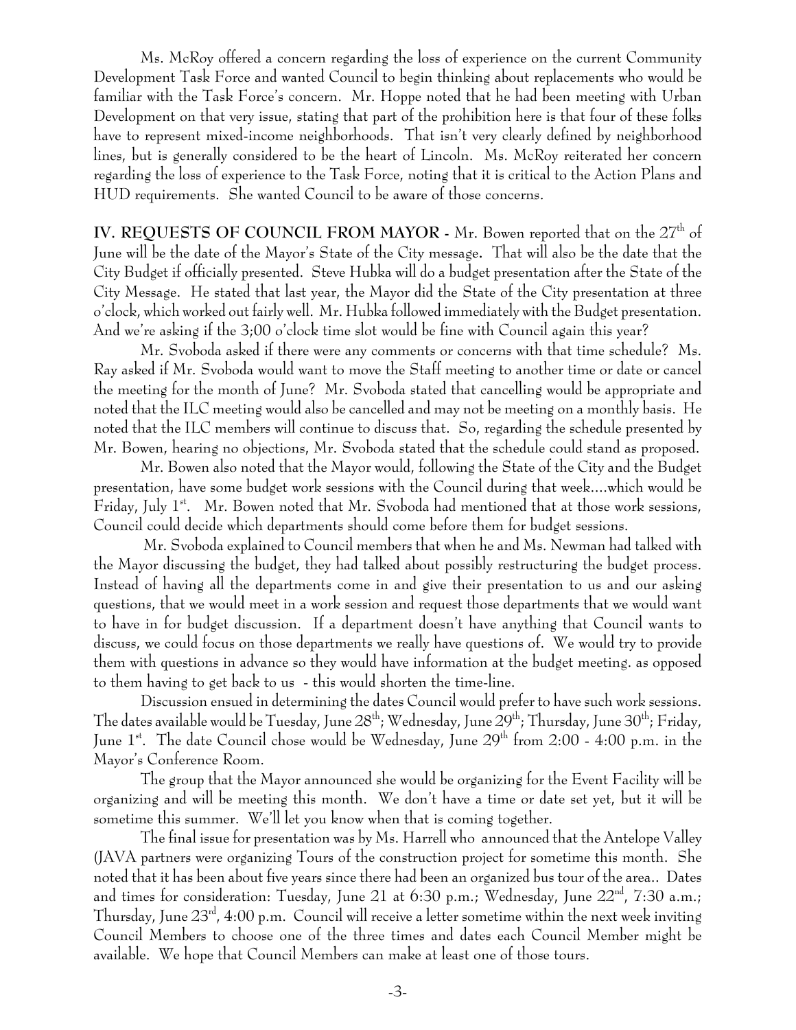Ms. McRoy offered a concern regarding the loss of experience on the current Community Development Task Force and wanted Council to begin thinking about replacements who would be familiar with the Task Force's concern. Mr. Hoppe noted that he had been meeting with Urban Development on that very issue, stating that part of the prohibition here is that four of these folks have to represent mixed-income neighborhoods. That isn't very clearly defined by neighborhood lines, but is generally considered to be the heart of Lincoln. Ms. McRoy reiterated her concern regarding the loss of experience to the Task Force, noting that it is critical to the Action Plans and HUD requirements. She wanted Council to be aware of those concerns.

**IV. REQUESTS OF COUNCIL FROM MAYOR - Mr. Bowen reported that on the 27<sup>th</sup> of** June will be the date of the Mayor's State of the City message**.** That will also be the date that the City Budget if officially presented. Steve Hubka will do a budget presentation after the State of the City Message. He stated that last year, the Mayor did the State of the City presentation at three o'clock, which worked out fairly well. Mr. Hubka followed immediately with the Budget presentation. And we're asking if the 3;00 o'clock time slot would be fine with Council again this year?

Mr. Svoboda asked if there were any comments or concerns with that time schedule? Ms. Ray asked if Mr. Svoboda would want to move the Staff meeting to another time or date or cancel the meeting for the month of June? Mr. Svoboda stated that cancelling would be appropriate and noted that the ILC meeting would also be cancelled and may not be meeting on a monthly basis. He noted that the ILC members will continue to discuss that. So, regarding the schedule presented by Mr. Bowen, hearing no objections, Mr. Svoboda stated that the schedule could stand as proposed.

Mr. Bowen also noted that the Mayor would, following the State of the City and the Budget presentation, have some budget work sessions with the Council during that week....which would be Friday, July  $1^{st}$ . Mr. Bowen noted that Mr. Svoboda had mentioned that at those work sessions, Council could decide which departments should come before them for budget sessions.

 Mr. Svoboda explained to Council members that when he and Ms. Newman had talked with the Mayor discussing the budget, they had talked about possibly restructuring the budget process. Instead of having all the departments come in and give their presentation to us and our asking questions, that we would meet in a work session and request those departments that we would want to have in for budget discussion. If a department doesn't have anything that Council wants to discuss, we could focus on those departments we really have questions of. We would try to provide them with questions in advance so they would have information at the budget meeting. as opposed to them having to get back to us - this would shorten the time-line.

Discussion ensued in determining the dates Council would prefer to have such work sessions. The dates available would be Tuesday, June  $28^{th}$ ; Wednesday, June  $29^{th}$ ; Thursday, June  $30^{th}$ ; Friday, June 1<sup>st</sup>. The date Council chose would be Wednesday, June 29<sup>th</sup> from 2:00 - 4:00 p.m. in the Mayor's Conference Room.

The group that the Mayor announced she would be organizing for the Event Facility will be organizing and will be meeting this month. We don't have a time or date set yet, but it will be sometime this summer. We'll let you know when that is coming together.

The final issue for presentation was by Ms. Harrell who announced that the Antelope Valley (JAVA partners were organizing Tours of the construction project for sometime this month. She noted that it has been about five years since there had been an organized bus tour of the area.. Dates and times for consideration: Tuesday, June 21 at 6:30 p.m.; Wednesday, June  $22<sup>nd</sup>$ , 7:30 a.m.; Thursday, June  $23^{\text{rd}}$ , 4:00 p.m. Council will receive a letter sometime within the next week inviting Council Members to choose one of the three times and dates each Council Member might be available. We hope that Council Members can make at least one of those tours.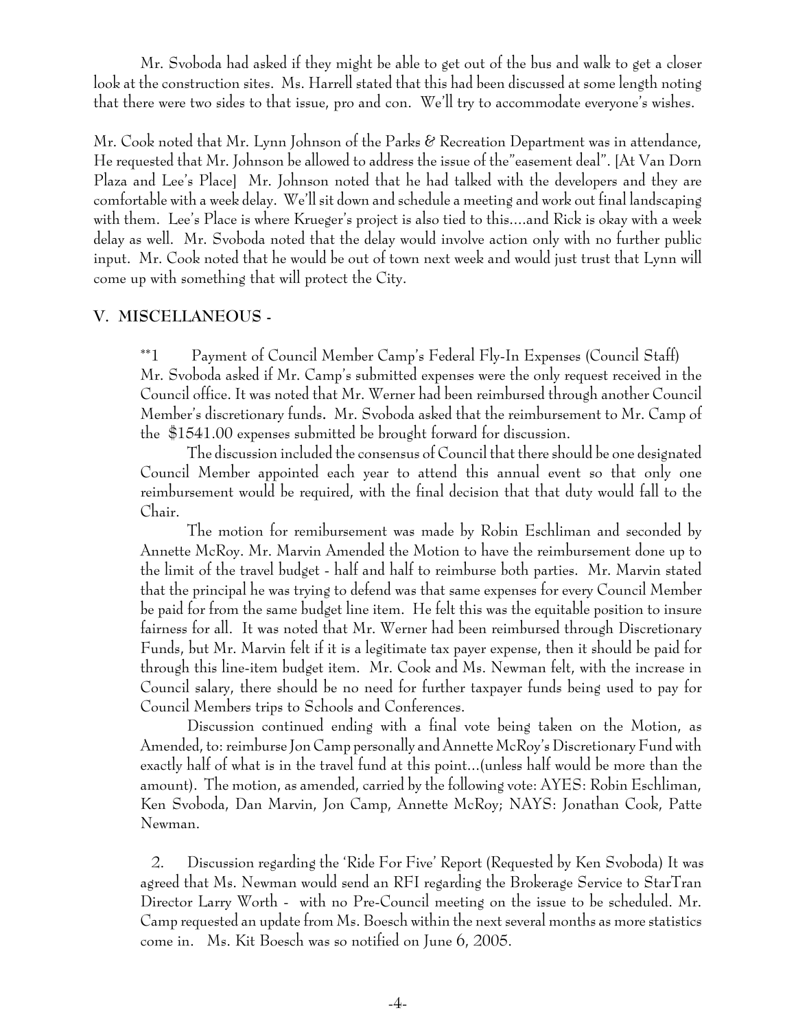Mr. Svoboda had asked if they might be able to get out of the bus and walk to get a closer look at the construction sites. Ms. Harrell stated that this had been discussed at some length noting that there were two sides to that issue, pro and con. We'll try to accommodate everyone's wishes.

Mr. Cook noted that Mr. Lynn Johnson of the Parks  $\mathscr E$  Recreation Department was in attendance, He requested that Mr. Johnson be allowed to address the issue of the"easement deal". [At Van Dorn Plaza and Lee's Place] Mr. Johnson noted that he had talked with the developers and they are comfortable with a week delay. We'll sit down and schedule a meeting and work out final landscaping with them. Lee's Place is where Krueger's project is also tied to this....and Rick is okay with a week delay as well. Mr. Svoboda noted that the delay would involve action only with no further public input. Mr. Cook noted that he would be out of town next week and would just trust that Lynn will come up with something that will protect the City.

#### **V. MISCELLANEOUS -**

\*\*1 Payment of Council Member Camp's Federal Fly-In Expenses (Council Staff) Mr. Svoboda asked if Mr. Camp's submitted expenses were the only request received in the Council office. It was noted that Mr. Werner had been reimbursed through another Council Member's discretionary funds**.** Mr. Svoboda asked that the reimbursement to Mr. Camp of the \$1541.00 expenses submitted be brought forward for discussion.

The discussion included the consensus of Council that there should be one designated Council Member appointed each year to attend this annual event so that only one reimbursement would be required, with the final decision that that duty would fall to the Chair.

The motion for remibursement was made by Robin Eschliman and seconded by Annette McRoy. Mr. Marvin Amended the Motion to have the reimbursement done up to the limit of the travel budget - half and half to reimburse both parties. Mr. Marvin stated that the principal he was trying to defend was that same expenses for every Council Member be paid for from the same budget line item. He felt this was the equitable position to insure fairness for all. It was noted that Mr. Werner had been reimbursed through Discretionary Funds, but Mr. Marvin felt if it is a legitimate tax payer expense, then it should be paid for through this line-item budget item. Mr. Cook and Ms. Newman felt, with the increase in Council salary, there should be no need for further taxpayer funds being used to pay for Council Members trips to Schools and Conferences.

Discussion continued ending with a final vote being taken on the Motion, as Amended, to: reimburse Jon Camp personally and Annette McRoy's Discretionary Fund with exactly half of what is in the travel fund at this point...(unless half would be more than the amount). The motion, as amended, carried by the following vote: AYES: Robin Eschliman, Ken Svoboda, Dan Marvin, Jon Camp, Annette McRoy; NAYS: Jonathan Cook, Patte Newman.

 2. Discussion regarding the 'Ride For Five' Report (Requested by Ken Svoboda) It was agreed that Ms. Newman would send an RFI regarding the Brokerage Service to StarTran Director Larry Worth - with no Pre-Council meeting on the issue to be scheduled. Mr. Camp requested an update from Ms. Boesch within the next several months as more statistics come in. Ms. Kit Boesch was so notified on June 6, 2005.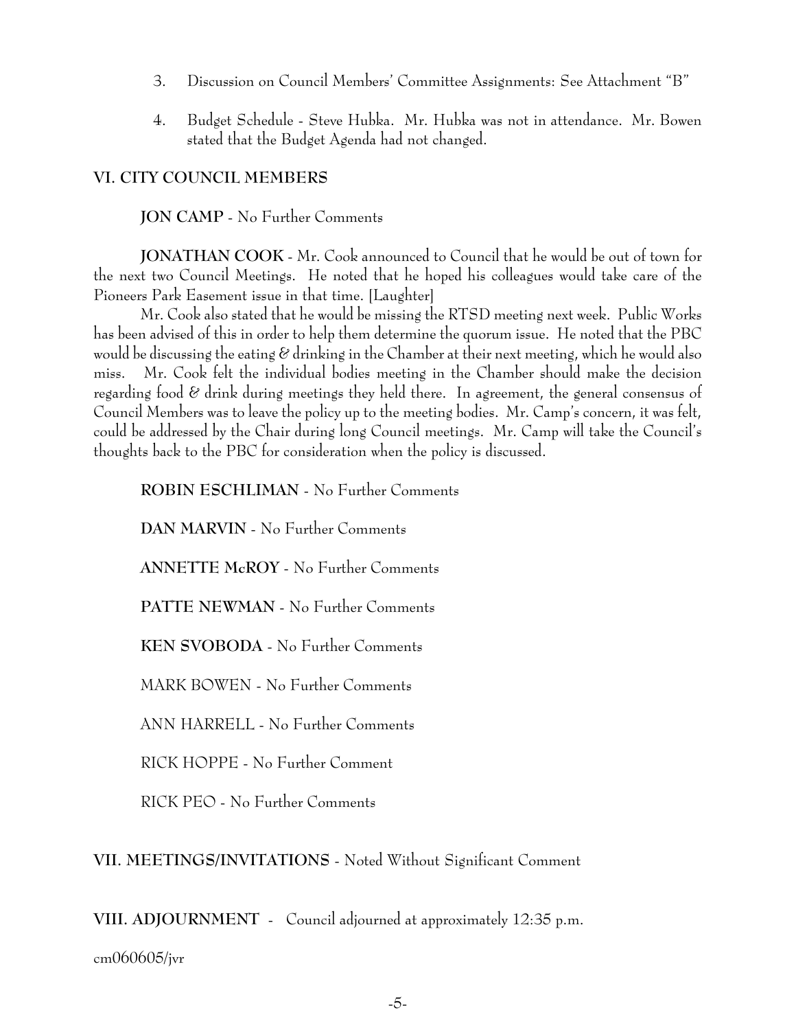- 3. Discussion on Council Members' Committee Assignments: See Attachment "B"
- 4. Budget Schedule Steve Hubka. Mr. Hubka was not in attendance. Mr. Bowen stated that the Budget Agenda had not changed.

# **VI. CITY COUNCIL MEMBERS**

# **JON CAMP** - No Further Comments

**JONATHAN COOK** - Mr. Cook announced to Council that he would be out of town for the next two Council Meetings. He noted that he hoped his colleagues would take care of the Pioneers Park Easement issue in that time. [Laughter]

Mr. Cook also stated that he would be missing the RTSD meeting next week. Public Works has been advised of this in order to help them determine the quorum issue. He noted that the PBC would be discussing the eating  $\mathscr C$  drinking in the Chamber at their next meeting, which he would also miss. Mr. Cook felt the individual bodies meeting in the Chamber should make the decision regarding food & drink during meetings they held there. In agreement, the general consensus of Council Members was to leave the policy up to the meeting bodies. Mr. Camp's concern, it was felt, could be addressed by the Chair during long Council meetings. Mr. Camp will take the Council's thoughts back to the PBC for consideration when the policy is discussed.

**ROBIN ESCHLIMAN** - No Further Comments

**DAN MARVIN** - No Further Comments

**ANNETTE McROY** - No Further Comments

**PATTE NEWMAN** - No Further Comments

**KEN SVOBODA** - No Further Comments

MARK BOWEN - No Further Comments

ANN HARRELL - No Further Comments

RICK HOPPE - No Further Comment

RICK PEO - No Further Comments

**VII. MEETINGS/INVITATIONS** - Noted Without Significant Comment

**VIII. ADJOURNMENT** - Council adjourned at approximately 12:35 p.m.

cm060605/jvr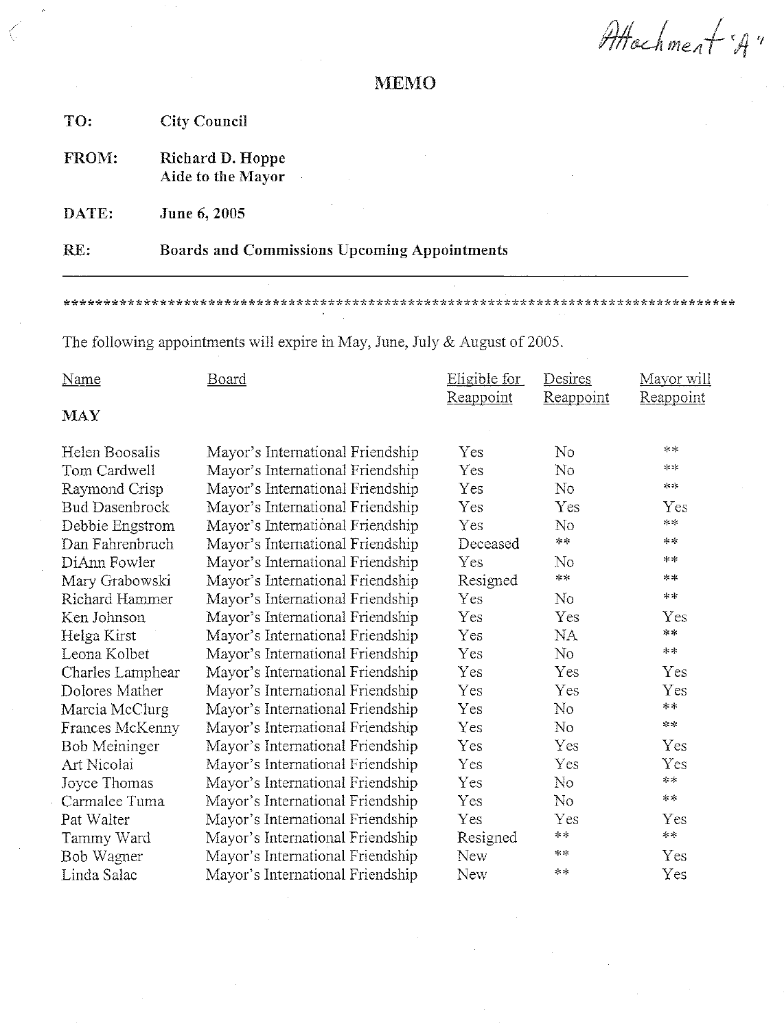Attachment 'A"

# **MEMO**

| TO:   | <b>City Council</b>                          |
|-------|----------------------------------------------|
| FROM: | Richard D. Hoppe<br>Aide to the Mayor        |
| DATE: | June 6, 2005                                 |
| RE:   | Boards and Commissions Upcoming Appointments |

The following appointments will expire in May, June, July & August of 2005.

| <b>Name</b>           | Board                            | Eligible for<br>Reappoint | Desires<br>Reappoint | Mayor will<br>Reappoint |
|-----------------------|----------------------------------|---------------------------|----------------------|-------------------------|
| <b>MAY</b>            |                                  |                           |                      |                         |
| Helen Boosalis        | Mayor's International Friendship | Yes                       | No                   | **                      |
| Tom Cardwell          | Mayor's International Friendship | Yes                       | No                   | $\gg 2K$                |
| Raymond Crisp         | Mayor's International Friendship | Yes                       | No                   | $\mathop{\mathrm{d}}$ : |
| <b>Bud Dasenbrock</b> | Mayor's International Friendship | Yes                       | Yes                  | Yes                     |
| Debbie Engstrom       | Mayor's International Friendship | Yes                       | No                   | **                      |
| Dan Fahrenbruch       | Mayor's International Friendship | Deceased                  | $\star$ $\star$      | $**$                    |
| DiAnn Fowler          | Mayor's International Friendship | Yes                       | $\rm No$             | $***$                   |
| Mary Grabowski        | Mayor's International Friendship | Resigned                  | $\ast$ $\ast$        | $* =$                   |
| Richard Hammer        | Mayor's International Friendship | Yes                       | No                   | $\ast \ast$             |
| Ken Johnson           | Mayor's International Friendship | Yes                       | Yes                  | Yes                     |
| Helga Kirst           | Mayor's International Friendship | Yes                       | NA.                  | $\sim$ $\sim$           |
| Leona Kolbet          | Mayor's International Friendship | Yes                       | No                   | $* *$                   |
| Charles Lamphear      | Mayor's International Friendship | Yes                       | Yes                  | Yes                     |
| Dolores Mather        | Mayor's International Friendship | Yes                       | Yes                  | Yes                     |
| Marcia McClurg        | Mayor's International Friendship | Yes                       | No                   | $\approx$ $\times$      |
| Frances McKenny       | Mayor's International Friendship | Yes                       | $\rm No$             | $\approx 2k$            |
| <b>Bob Meininger</b>  | Mayor's International Friendship | Yes                       | Yes                  | Yes                     |
| Art Nicolai           | Mayor's International Friendship | Yes                       | Yes                  | Yes                     |
| Joyce Thomas          | Mayor's International Friendship | Yes                       | No                   | $\approx$ $\times$      |
| Carmalee Tuma         | Mayor's International Friendship | Yes                       | No                   | $**$                    |
| Pat Walter            | Mayor's International Friendship | Yes                       | Yes                  | Yes                     |
| Tammy Ward            | Mayor's International Friendship | Resigned                  | $\ast$ $\ast$        | $\ast \ast$             |
| Bob Wagner            | Mayor's International Friendship | New                       | $**$                 | Yes                     |
| Linda Salac           | Mayor's International Friendship | New                       | $**$                 | Yes                     |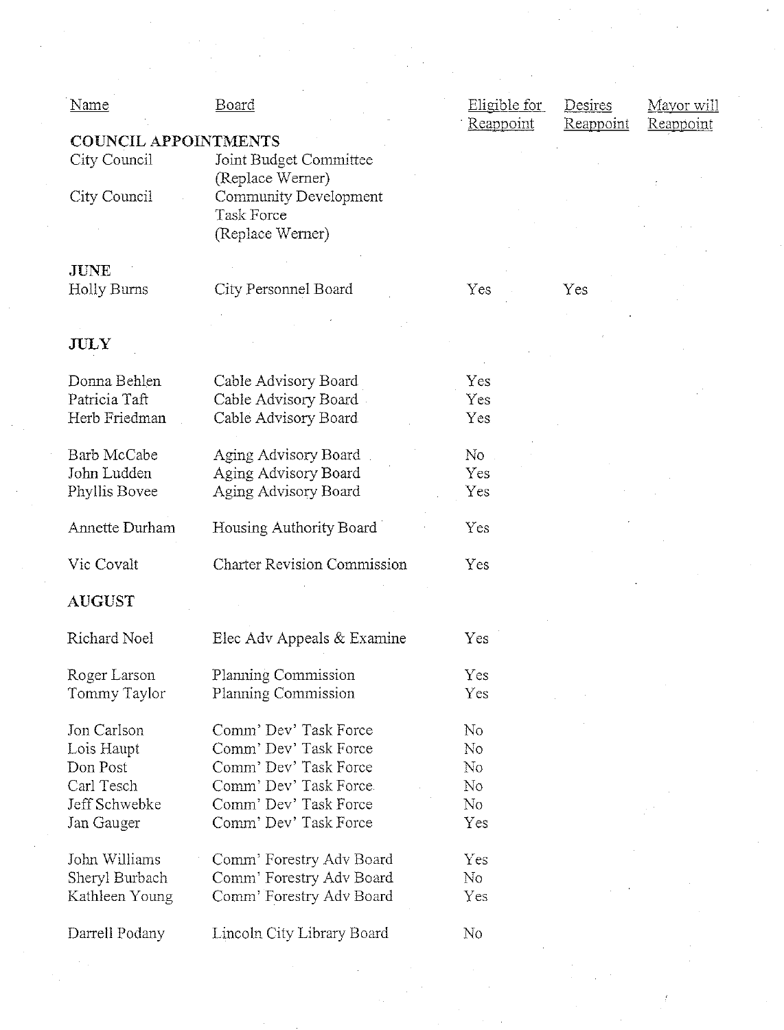| <b>Name</b>                      | <b>Board</b>                                         | Eligible for   | Desires<br>Mayor will  |
|----------------------------------|------------------------------------------------------|----------------|------------------------|
|                                  |                                                      | Reappoint      | Reappoint<br>Reappoint |
| <b>COUNCIL APPOINTMENTS</b>      |                                                      |                |                        |
| City Council                     | Joint Budget Committee                               |                |                        |
|                                  | (Replace Werner)                                     |                |                        |
| City Council                     | Community Development                                |                |                        |
|                                  | <b>Task Force</b>                                    |                |                        |
|                                  | (Replace Werner)                                     |                |                        |
| <b>JUNE</b>                      |                                                      |                |                        |
| Holly Burns                      | City Personnel Board                                 | Yes            | Yes                    |
|                                  |                                                      |                |                        |
|                                  |                                                      |                |                        |
| <b>JULY</b>                      |                                                      |                |                        |
|                                  |                                                      |                |                        |
| Donna Behlen                     | Cable Advisory Board                                 | Yes            |                        |
| Patricia Taft                    | Cable Advisory Board                                 | Yes            |                        |
| Herb Friedman                    | Cable Advisory Board                                 | Yes            |                        |
| Barb McCabe                      | Aging Advisory Board                                 | No.            |                        |
| John Ludden                      | Aging Advisory Board                                 | Yes            |                        |
| Phyllis Bovee                    | Aging Advisory Board                                 | Yes            |                        |
|                                  |                                                      |                |                        |
| Annette Durham                   | Housing Authority Board                              | Yes            |                        |
|                                  |                                                      |                |                        |
| Vic Covalt                       | <b>Charter Revision Commission</b>                   | Yes            |                        |
| <b>AUGUST</b>                    |                                                      |                |                        |
|                                  |                                                      |                |                        |
| Richard Noel                     | Elec Adv Appeals & Examine                           | Yes            |                        |
| Roger Larson                     | Planning Commission                                  | Yes            |                        |
| Tommy Taylor                     | Planning Commission                                  | Yes            |                        |
|                                  |                                                      |                |                        |
| Jon Carlson                      | Comm' Dev' Task Force                                | N <sub>o</sub> |                        |
| Lois Haupt                       | Comm' Dev' Task Force                                | N <sub>o</sub> |                        |
| Don Post                         | Comm' Dev' Task Force                                | No             |                        |
| Carl Tesch                       | Comm' Dev' Task Force.                               | N <sub>o</sub> |                        |
| Jeff Schwebke                    | Comm' Dev' Task Force                                | No             |                        |
| Jan Gauger                       | Comm' Dev' Task Force                                | Yes            |                        |
|                                  |                                                      |                |                        |
| John Williams                    | Comm' Forestry Adv Board                             | Yes            |                        |
| Sheryl Burbach<br>Kathleen Young | Comm' Forestry Adv Board<br>Comm' Forestry Adv Board | No<br>Yes      |                        |
|                                  |                                                      |                |                        |
| Darrell Podany                   | Lincoln City Library Board                           | No.            |                        |
|                                  |                                                      |                |                        |
|                                  |                                                      |                |                        |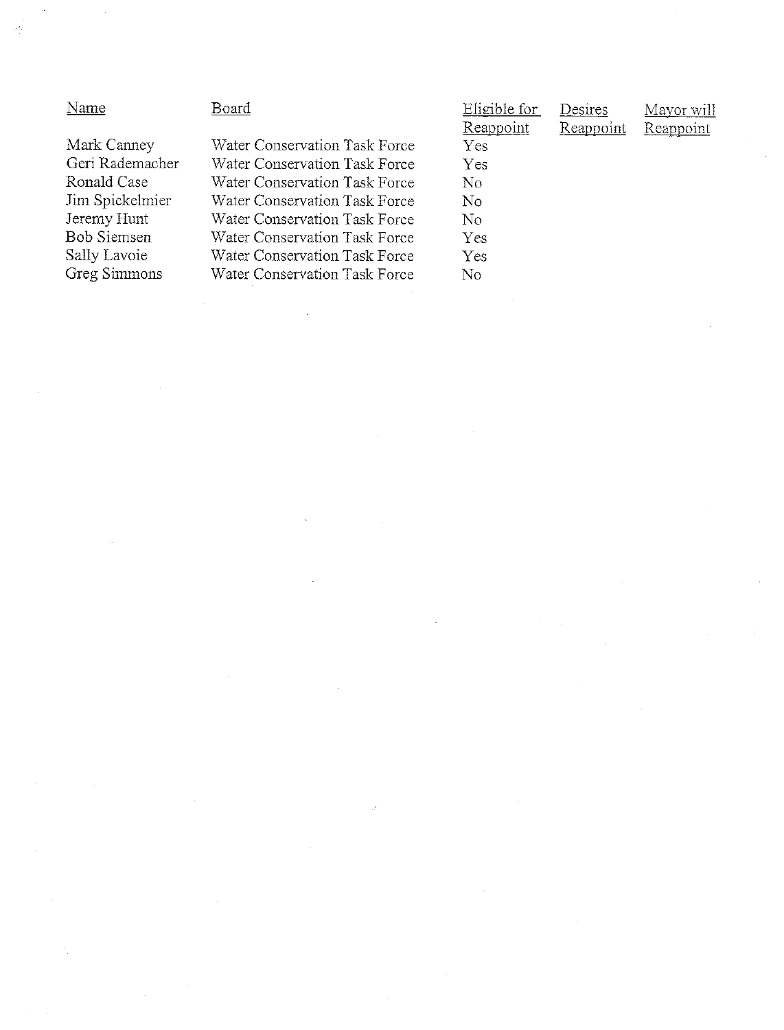| Name            | Board                         | Eligible for     | Desires   | Mayor will |  |
|-----------------|-------------------------------|------------------|-----------|------------|--|
|                 |                               | <b>Reappoint</b> | Reappoint | Reappoint  |  |
| Mark Canney     | Water Conservation Task Force | Yes              |           |            |  |
| Geri Rademacher | Water Conservation Task Force | Yes              |           |            |  |
| Ronald Case     | Water Conservation Task Force | No.              |           |            |  |
| Jim Spickelmier | Water Conservation Task Force | No               |           |            |  |
| Jeremy Hunt     | Water Conservation Task Force | No               |           |            |  |
| Bob Siemsen     | Water Conservation Task Force | Yes              |           |            |  |
| Sally Lavoie    | Water Conservation Task Force | Yes              |           |            |  |
| Greg Simmons    | Water Conservation Task Force | No               |           |            |  |
|                 |                               |                  |           |            |  |
|                 |                               |                  |           |            |  |
|                 |                               |                  |           |            |  |
|                 |                               |                  |           |            |  |

 $\label{eq:2.1} \frac{1}{\sqrt{2}}\sum_{i=1}^n\frac{1}{\sqrt{2}}\sum_{j=1}^n\frac{1}{\sqrt{2}}\sum_{j=1}^n\frac{1}{\sqrt{2}}\sum_{j=1}^n\frac{1}{\sqrt{2}}\sum_{j=1}^n\frac{1}{\sqrt{2}}\sum_{j=1}^n\frac{1}{\sqrt{2}}\sum_{j=1}^n\frac{1}{\sqrt{2}}\sum_{j=1}^n\frac{1}{\sqrt{2}}\sum_{j=1}^n\frac{1}{\sqrt{2}}\sum_{j=1}^n\frac{1}{\sqrt{2}}\sum_{j=1}^n\frac$ 

 $\label{eq:2.1} \frac{d}{dt} \left( \frac{d}{dt} \right) = \frac{1}{2} \left( \frac{d}{dt} \right) \left( \frac{d}{dt} \right)$ 

 $\label{eq:2.1} \frac{1}{\sqrt{2}}\sum_{i=1}^n\frac{1}{\sqrt{2}}\sum_{i=1}^n\frac{1}{\sqrt{2}}\sum_{i=1}^n\frac{1}{\sqrt{2}}\sum_{i=1}^n\frac{1}{\sqrt{2}}\sum_{i=1}^n\frac{1}{\sqrt{2}}\sum_{i=1}^n\frac{1}{\sqrt{2}}\sum_{i=1}^n\frac{1}{\sqrt{2}}\sum_{i=1}^n\frac{1}{\sqrt{2}}\sum_{i=1}^n\frac{1}{\sqrt{2}}\sum_{i=1}^n\frac{1}{\sqrt{2}}\sum_{i=1}^n\frac$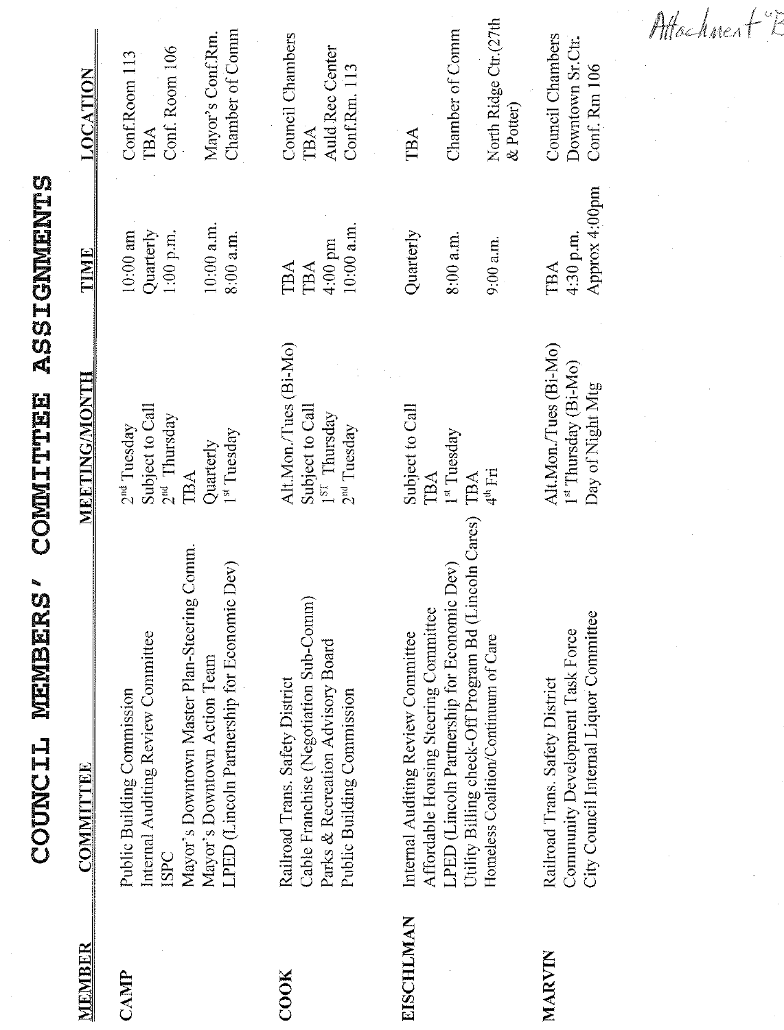| í<br><b>The Contract of Contract of Contract of Contract of Contract of Contract of Contract of Contract of Contract of Contract of Contract of Contract of Contract of Contract of Contract of Contract of Contract of Contract of C</b><br>I<br>I<br>$\vdots$<br>į<br>ĺ |
|---------------------------------------------------------------------------------------------------------------------------------------------------------------------------------------------------------------------------------------------------------------------------|
| $\blacksquare$<br>l<br>į                                                                                                                                                                                                                                                  |
| Ì<br>l<br>I<br>l<br>l<br> <br> <br> <br>i                                                                                                                                                                                                                                 |
| <b>B</b><br>ł<br>i<br>Parti<br>j                                                                                                                                                                                                                                          |

脚の

| MEMBER       | <b>COMMITTEE</b>                                                                                                                                                                                                           | <b>MEETING/MONTH</b>                                                                            | <b>TIME</b>                                                         | <b>LOCATION</b>                                                               |
|--------------|----------------------------------------------------------------------------------------------------------------------------------------------------------------------------------------------------------------------------|-------------------------------------------------------------------------------------------------|---------------------------------------------------------------------|-------------------------------------------------------------------------------|
| CANP         | Mayor's Downtown Master Plan-Steering Comm.<br>LPED (Lincoln Partnership for Economic Dev)<br>Internal Auditing Review Committee<br>Mayor's Downtown Action Team<br>Public Building Commission<br><b>ISPC</b>              | Subject to Call<br>$2nd$ Thursday<br>2 <sup>nd</sup> Tuesday<br>1st Tuesday<br>Quarterly<br>TBA | $10:00$ a.m.<br>Quarterly<br>$10:00$ am<br>$1:00$ p.m.<br>8:00 a.m. | Chamber of Comm<br>Mayor's Conf.Rm.<br>Conf. Room 106<br>Conf.Room 113<br>TBA |
| ${\rm COOK}$ | Cable Franchise (Negotiation Sub-Comm)<br>Parks & Recreation Advisory Board<br>Railroad Trans. Safety District<br>Public Building Commission                                                                               | Alt.Mon./Tues (Bi-Mo)<br>Subject to Call<br>$1^{ST}$ Thursday<br>$2nd$ Tuesday                  | $10:00$ a.m.<br>4:00 pm<br><b>TBA</b><br>TBA                        | <b>Council Chambers</b><br>Auld Rec Center<br>Conf.Rm. 113<br>TBA             |
| EISCHLMAN    | Utility Billing check-Off Program Bd (Lincoln Cares)<br>LPED (Lincoln Partnership for Economic Dev)<br>Affordable Housing Steering Committee<br>Internal Auditing Review Committee<br>Homeless Coalition/Continuum of Care | Subject to Call<br>1 <sup>st</sup> Tuesday<br>$4th$ Fri<br>TBA<br>TBA                           | Quarterly<br>8:00 a.m.<br>$9:00$ a.m.                               | North Ridge Ctr.(27th<br>Chamber of Comm<br>& Potter)<br>TBA                  |
| MARVIN       | City Council Internal Liquor Committee<br>Community Development Task Force<br>Railroad Trans. Safety District                                                                                                              | Alt.Mon./Tues (Bi-Mo)<br>1st Thursday (Bi-Mo)<br>Day of Night Mtg                               | Approx 4:00pm<br>4:30 p.m.<br>TBA                                   | <b>Council Chambers</b><br>Downtown Sr.Ctr.<br>Conf. Rm 106                   |
|              |                                                                                                                                                                                                                            |                                                                                                 |                                                                     |                                                                               |

Attachnert E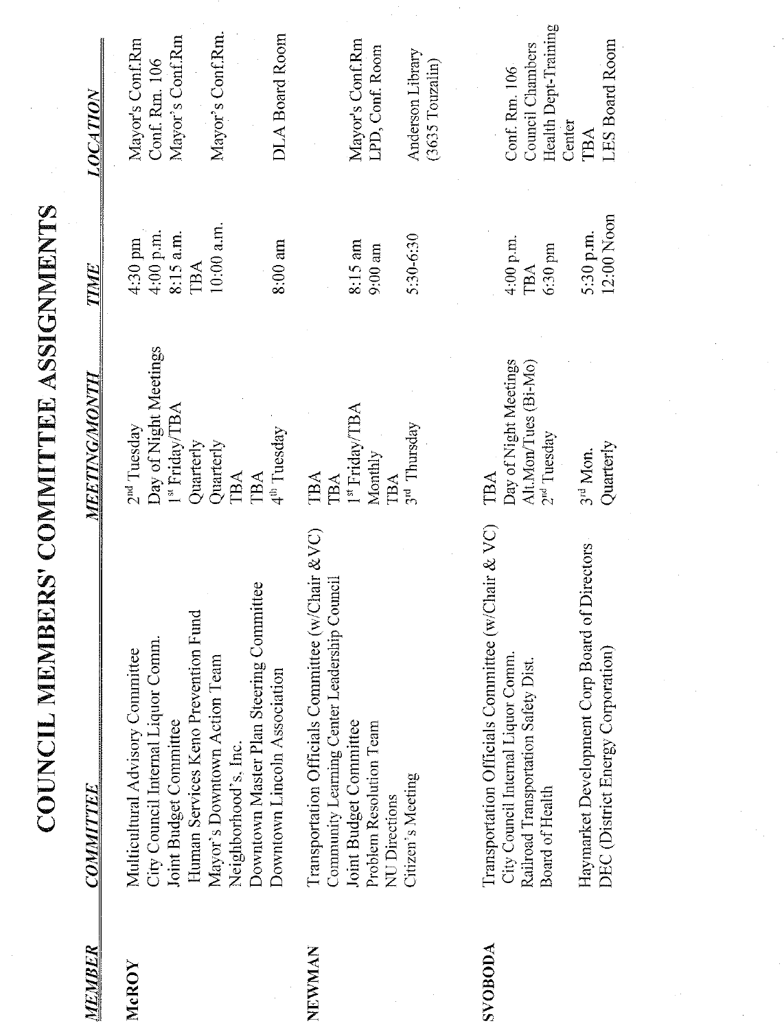COUNCIL MEMBERS' COMMITTEE ASSIGNMENTS

| MEMBER         | <b>COMMITTEE</b>                                                                                                                                                                                                                                                           | <i><b>MEETING/MONTH</b></i>                                                                                                                              | <u>TIME</u>                                                           | <b>LOCATION</b>                                                                                     |
|----------------|----------------------------------------------------------------------------------------------------------------------------------------------------------------------------------------------------------------------------------------------------------------------------|----------------------------------------------------------------------------------------------------------------------------------------------------------|-----------------------------------------------------------------------|-----------------------------------------------------------------------------------------------------|
| McROY          | Downtown Master Plan Steering Committee<br>Human Services Keno Prevention Fund<br>City Council Internal Liquor Comm.<br>Multicultural Advisory Committee<br>Mayor's Downtown Action Team<br>Downtown Lincoln Association<br>Joint Budget Committee<br>Neighborhood's, Inc. | Day of Night Meetings<br>I <sup>st</sup> Friday/TBA<br>2 <sup>nd</sup> Tuesday<br>4 <sup>th</sup> Tuesday<br>Quarterly<br>Quarterly<br><b>TBA</b><br>TBA | $10:00$ a.m.<br>4:00 p.m.<br>$8:15$ a.m.<br>4:30 pm<br>8:00 am<br>TBA | Mayor's Conf.Rm.<br>DLA Board Room<br>Mayor's Conf.Rm<br>Mayor's Conf.Rm<br>Conf. Rm. 106           |
| NEWMAN         | Transportation Officials Committee (w/Chair &VC)<br>$\text{Count}$<br>Community Learning Center Leadership<br>Joint Budget Committee<br>Problem Resolution Team<br>Citizen's Meeting<br><b>NU</b> Directions                                                               | $I^{\rm st}$ Friday/TBA<br>3 <sup>rd</sup> Thursday<br>Monthly<br>TBA<br>TBA<br>TBA                                                                      | 5:30-6:30<br>8:15 am<br>$9:00$ am                                     | Mayor's Conf.Rm<br>LPD, Conf. Room<br>Anderson Library<br>$(3635$ Touzalin $)$                      |
| <b>SVOBODA</b> | Transportation Officials Committee (w/Chair & VC)<br>of Directors<br>Haymarket Development Corp Board<br>DEC (District Energy Corporation)<br>City Council Internal Liquor Comm.<br>Railroad Transportation Safety Dist.<br>Board of Health                                | Day of Night Meetings<br>Alt.Mon/Tues (Bi-Mo)<br>2 <sup>nd</sup> Tuesday<br>Quarterly<br>3 <sup>rd</sup> Mon.<br>TBA                                     | 12:00 Noon<br>5:30 p.m.<br>4:00 p.m.<br>6:30 pm<br>TBA                | Health Dept-Training<br><b>LES Board Room</b><br>Council Chambers<br>Conf. Rm. 106<br>Center<br>TBA |